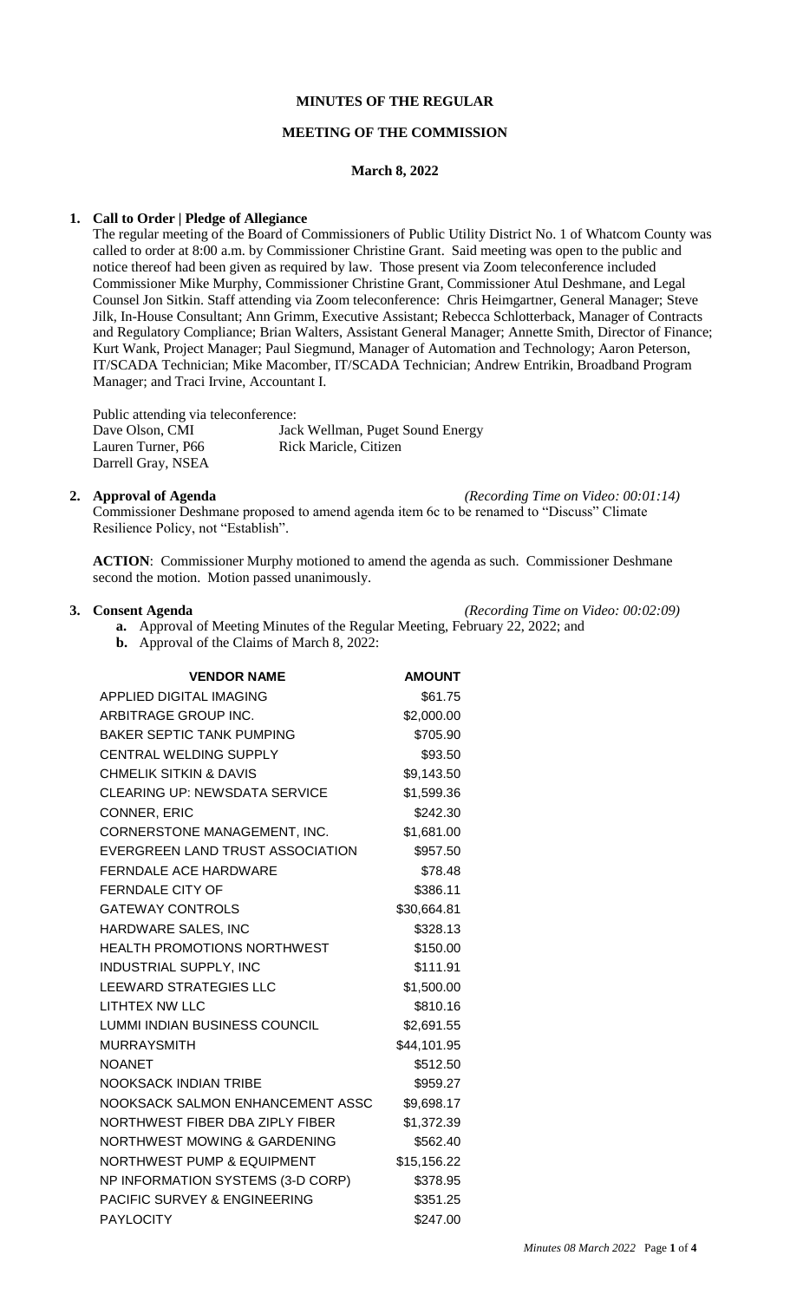## **MINUTES OF THE REGULAR**

### **MEETING OF THE COMMISSION**

### **March 8, 2022**

## **1. Call to Order | Pledge of Allegiance**

The regular meeting of the Board of Commissioners of Public Utility District No. 1 of Whatcom County was called to order at 8:00 a.m. by Commissioner Christine Grant. Said meeting was open to the public and notice thereof had been given as required by law. Those present via Zoom teleconference included Commissioner Mike Murphy, Commissioner Christine Grant, Commissioner Atul Deshmane, and Legal Counsel Jon Sitkin. Staff attending via Zoom teleconference: Chris Heimgartner, General Manager; Steve Jilk, In-House Consultant; Ann Grimm, Executive Assistant; Rebecca Schlotterback, Manager of Contracts and Regulatory Compliance; Brian Walters, Assistant General Manager; Annette Smith, Director of Finance; Kurt Wank, Project Manager; Paul Siegmund, Manager of Automation and Technology; Aaron Peterson, IT/SCADA Technician; Mike Macomber, IT/SCADA Technician; Andrew Entrikin, Broadband Program Manager; and Traci Irvine, Accountant I.

Public attending via teleconference:

| Dave Olson, CMI    | Jack Wellman, Puget Sound Energy |
|--------------------|----------------------------------|
| Lauren Turner, P66 | <b>Rick Maricle, Citizen</b>     |
| Darrell Gray, NSEA |                                  |

**2. Approval of Agenda** *(Recording Time on Video: 00:01:14)*

Commissioner Deshmane proposed to amend agenda item 6c to be renamed to "Discuss" Climate Resilience Policy, not "Establish".

**ACTION**: Commissioner Murphy motioned to amend the agenda as such. Commissioner Deshmane second the motion. Motion passed unanimously.

**3. Consent Agenda** *(Recording Time on Video: 00:02:09)*

- **a.** Approval of Meeting Minutes of the Regular Meeting, February 22, 2022; and
- **b.** Approval of the Claims of March 8, 2022:

| <b>VENDOR NAME</b>                      | <b>AMOUNT</b> |
|-----------------------------------------|---------------|
| <b>APPLIED DIGITAL IMAGING</b>          | \$61.75       |
| ARBITRAGE GROUP INC.                    | \$2,000.00    |
| <b>BAKER SEPTIC TANK PUMPING</b>        | \$705.90      |
| <b>CENTRAL WELDING SUPPLY</b>           | \$93.50       |
| <b>CHMELIK SITKIN &amp; DAVIS</b>       | \$9,143.50    |
| <b>CLEARING UP: NEWSDATA SERVICE</b>    | \$1,599.36    |
| CONNER, ERIC                            | \$242.30      |
| CORNERSTONE MANAGEMENT, INC.            | \$1,681.00    |
| EVERGREEN LAND TRUST ASSOCIATION        | \$957.50      |
| <b>FERNDALE ACE HARDWARE</b>            | \$78.48       |
| <b>FERNDALE CITY OF</b>                 | \$386.11      |
| <b>GATEWAY CONTROLS</b>                 | \$30,664.81   |
| HARDWARE SALES, INC                     | \$328.13      |
| <b>HEALTH PROMOTIONS NORTHWEST</b>      | \$150.00      |
| INDUSTRIAL SUPPLY, INC                  | \$111.91      |
| LEEWARD STRATEGIES LLC                  | \$1,500.00    |
| LITHTEX NW LLC                          | \$810.16      |
| LUMMI INDIAN BUSINESS COUNCIL           | \$2,691.55    |
| <b>MURRAYSMITH</b>                      | \$44,101.95   |
| NOANET                                  | \$512.50      |
| <b>NOOKSACK INDIAN TRIBE</b>            | \$959.27      |
| NOOKSACK SALMON ENHANCEMENT ASSC        | \$9,698.17    |
| NORTHWEST FIBER DBA ZIPLY FIBER         | \$1,372.39    |
| NORTHWEST MOWING & GARDENING            | \$562.40      |
| <b>NORTHWEST PUMP &amp; EQUIPMENT</b>   | \$15,156.22   |
| NP INFORMATION SYSTEMS (3-D CORP)       | \$378.95      |
| <b>PACIFIC SURVEY &amp; ENGINEERING</b> | \$351.25      |
| <b>PAYLOCITY</b>                        | \$247.00      |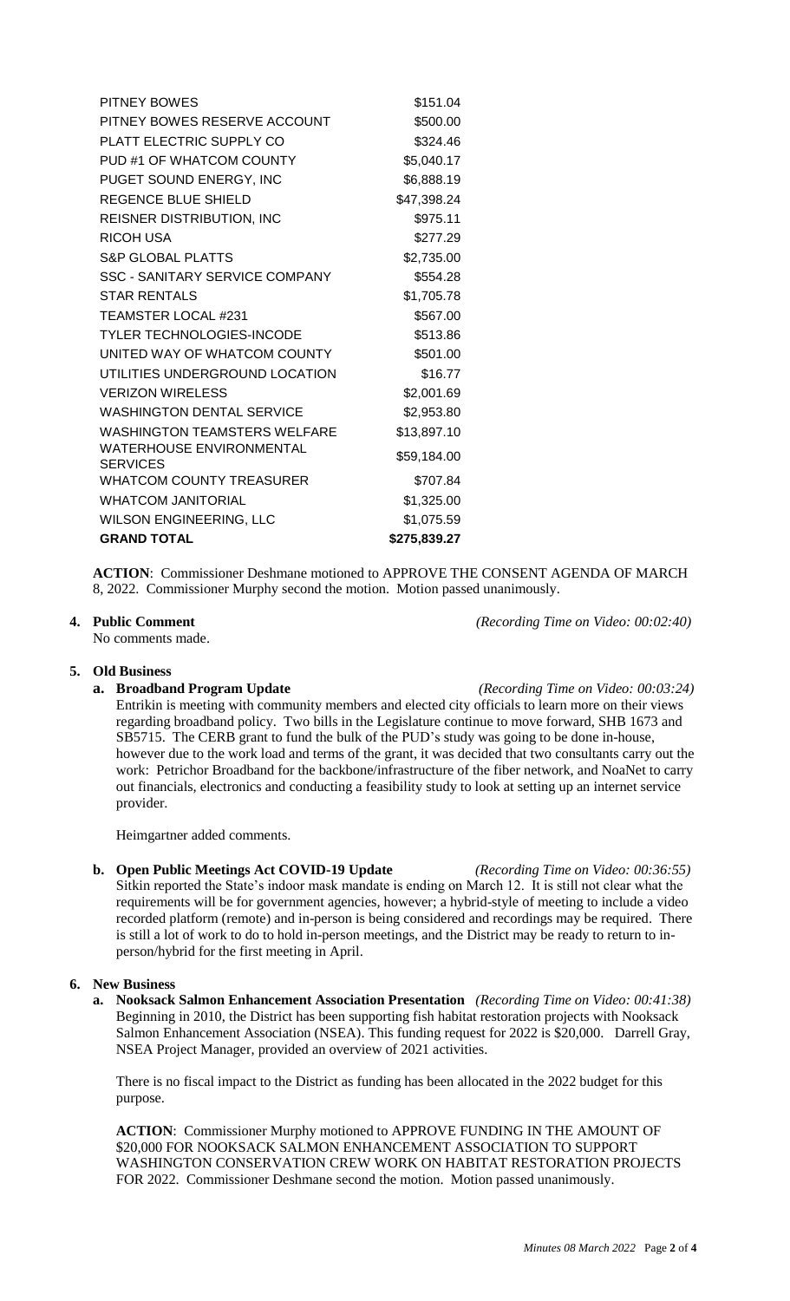| PITNEY BOWES                         | \$151.04     |
|--------------------------------------|--------------|
| PITNEY BOWES RESERVE ACCOUNT         | \$500.00     |
| PLATT ELECTRIC SUPPLY CO             | \$324.46     |
| PUD #1 OF WHATCOM COUNTY             | \$5,040.17   |
| PUGET SOUND ENERGY, INC              | \$6,888.19   |
| REGENCE BLUE SHIELD                  | \$47,398.24  |
| REISNER DISTRIBUTION, INC            | \$975.11     |
| RICOH USA                            | \$277.29     |
| <b>S&amp;P GLOBAL PLATTS</b>         | \$2,735.00   |
| SSC - SANITARY SERVICE COMPANY       | \$554.28     |
| <b>STAR RENTALS</b>                  | \$1,705.78   |
| TEAMSTER LOCAL #231                  | \$567.00     |
| TYLER TECHNOLOGIES-INCODE            | \$513.86     |
| UNITED WAY OF WHATCOM COUNTY         | \$501.00     |
| UTILITIES UNDERGROUND LOCATION       | \$16.77      |
| <b>VERIZON WIRELESS</b>              | \$2,001.69   |
| <b>WASHINGTON DENTAL SERVICE</b>     | \$2,953.80   |
| WASHINGTON TEAMSTERS WELFARE         | \$13,897.10  |
| WATERHOUSE ENVIRONMENTAL<br>SERVICES | \$59,184.00  |
| <b>WHATCOM COUNTY TREASURER</b>      | \$707.84     |
| <b>WHATCOM JANITORIAL</b>            | \$1,325.00   |
| WILSON ENGINEERING, LLC              | \$1,075.59   |
| <b>GRAND TOTAL</b>                   | \$275,839.27 |
|                                      |              |

**ACTION**: Commissioner Deshmane motioned to APPROVE THE CONSENT AGENDA OF MARCH 8, 2022. Commissioner Murphy second the motion. Motion passed unanimously.

No comments made.

## **5. Old Business**

**a. Broadband Program Update** *(Recording Time on Video: 00:03:24)* Entrikin is meeting with community members and elected city officials to learn more on their views regarding broadband policy. Two bills in the Legislature continue to move forward, SHB 1673 and SB5715. The CERB grant to fund the bulk of the PUD's study was going to be done in-house, however due to the work load and terms of the grant, it was decided that two consultants carry out the work: Petrichor Broadband for the backbone/infrastructure of the fiber network, and NoaNet to carry out financials, electronics and conducting a feasibility study to look at setting up an internet service provider.

Heimgartner added comments.

**b. Open Public Meetings Act COVID-19 Update** *(Recording Time on Video: 00:36:55)* Sitkin reported the State's indoor mask mandate is ending on March 12. It is still not clear what the requirements will be for government agencies, however; a hybrid-style of meeting to include a video recorded platform (remote) and in-person is being considered and recordings may be required. There is still a lot of work to do to hold in-person meetings, and the District may be ready to return to inperson/hybrid for the first meeting in April.

## **6. New Business**

**a. Nooksack Salmon Enhancement Association Presentation** *(Recording Time on Video: 00:41:38)* Beginning in 2010, the District has been supporting fish habitat restoration projects with Nooksack Salmon Enhancement Association (NSEA). This funding request for 2022 is \$20,000. Darrell Gray, NSEA Project Manager, provided an overview of 2021 activities.

There is no fiscal impact to the District as funding has been allocated in the 2022 budget for this purpose.

**ACTION**: Commissioner Murphy motioned to APPROVE FUNDING IN THE AMOUNT OF \$20,000 FOR NOOKSACK SALMON ENHANCEMENT ASSOCIATION TO SUPPORT WASHINGTON CONSERVATION CREW WORK ON HABITAT RESTORATION PROJECTS FOR 2022. Commissioner Deshmane second the motion. Motion passed unanimously.

**4. Public Comment** *(Recording Time on Video: 00:02:40)*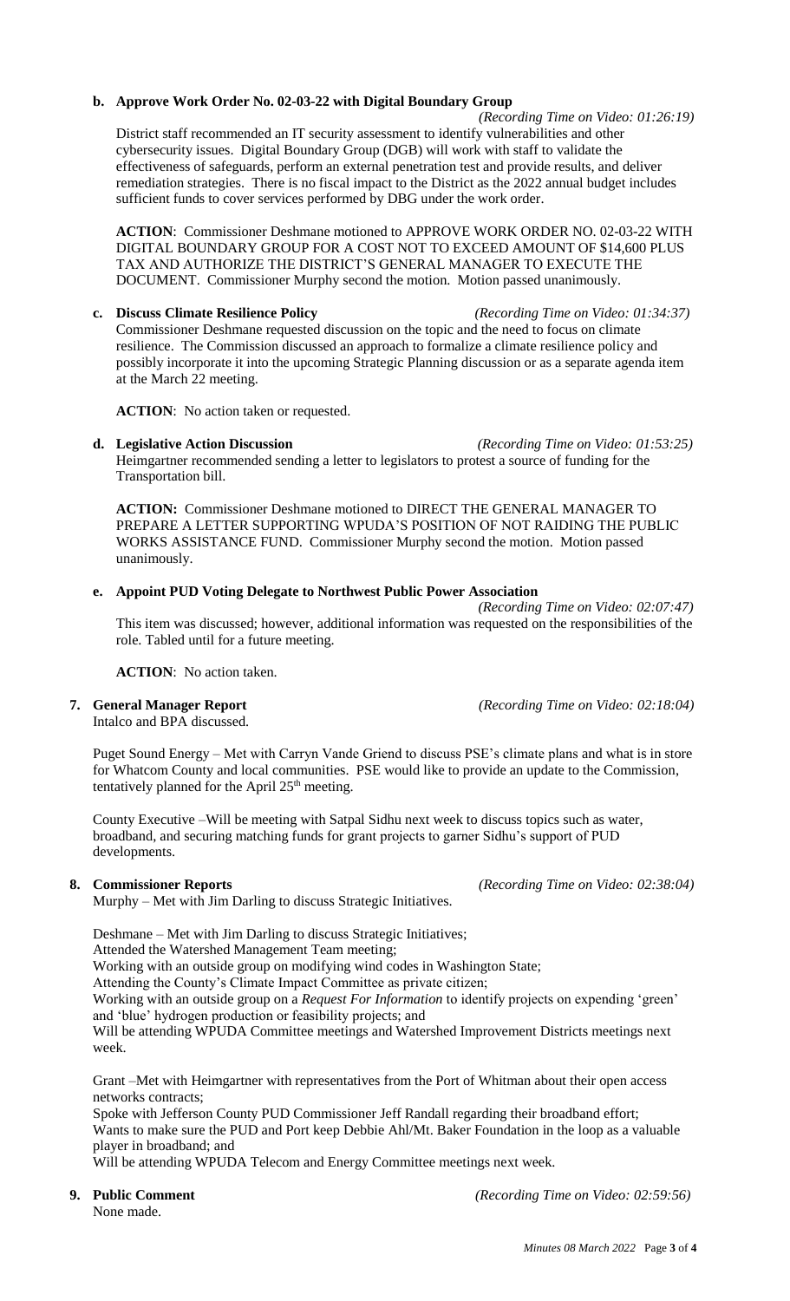## **b. Approve Work Order No. 02-03-22 with Digital Boundary Group**

 *(Recording Time on Video: 01:26:19)* District staff recommended an IT security assessment to identify vulnerabilities and other cybersecurity issues. Digital Boundary Group (DGB) will work with staff to validate the effectiveness of safeguards, perform an external penetration test and provide results, and deliver remediation strategies. There is no fiscal impact to the District as the 2022 annual budget includes sufficient funds to cover services performed by DBG under the work order.

**ACTION**: Commissioner Deshmane motioned to APPROVE WORK ORDER NO. 02-03-22 WITH DIGITAL BOUNDARY GROUP FOR A COST NOT TO EXCEED AMOUNT OF \$14,600 PLUS TAX AND AUTHORIZE THE DISTRICT'S GENERAL MANAGER TO EXECUTE THE DOCUMENT. Commissioner Murphy second the motion. Motion passed unanimously.

**c. Discuss Climate Resilience Policy** *(Recording Time on Video: 01:34:37)* Commissioner Deshmane requested discussion on the topic and the need to focus on climate resilience. The Commission discussed an approach to formalize a climate resilience policy and possibly incorporate it into the upcoming Strategic Planning discussion or as a separate agenda item at the March 22 meeting.

**ACTION:** No action taken or requested.

Heimgartner recommended sending a letter to legislators to protest a source of funding for the Transportation bill.

**ACTION:** Commissioner Deshmane motioned to DIRECT THE GENERAL MANAGER TO PREPARE A LETTER SUPPORTING WPUDA'S POSITION OF NOT RAIDING THE PUBLIC WORKS ASSISTANCE FUND. Commissioner Murphy second the motion. Motion passed unanimously.

## **e. Appoint PUD Voting Delegate to Northwest Public Power Association**

*(Recording Time on Video: 02:07:47)* This item was discussed; however, additional information was requested on the responsibilities of the role. Tabled until for a future meeting.

**ACTION**: No action taken.

# **7. General Manager Report** *(Recording Time on Video: 02:18:04)*

Intalco and BPA discussed.

Puget Sound Energy – Met with Carryn Vande Griend to discuss PSE's climate plans and what is in store for Whatcom County and local communities. PSE would like to provide an update to the Commission, tentatively planned for the April 25<sup>th</sup> meeting.

County Executive –Will be meeting with Satpal Sidhu next week to discuss topics such as water, broadband, and securing matching funds for grant projects to garner Sidhu's support of PUD developments.

Murphy – Met with Jim Darling to discuss Strategic Initiatives.

Deshmane – Met with Jim Darling to discuss Strategic Initiatives;

Attended the Watershed Management Team meeting;

Working with an outside group on modifying wind codes in Washington State;

Attending the County's Climate Impact Committee as private citizen;

Working with an outside group on a *Request For Information* to identify projects on expending 'green' and 'blue' hydrogen production or feasibility projects; and

Will be attending WPUDA Committee meetings and Watershed Improvement Districts meetings next week.

Grant –Met with Heimgartner with representatives from the Port of Whitman about their open access networks contracts;

Spoke with Jefferson County PUD Commissioner Jeff Randall regarding their broadband effort; Wants to make sure the PUD and Port keep Debbie Ahl/Mt. Baker Foundation in the loop as a valuable player in broadband; and

Will be attending WPUDA Telecom and Energy Committee meetings next week.

**9. Public Comment** *(Recording Time on Video: 02:59:56)*

**8. Commissioner Reports** *(Recording Time on Video: 02:38:04)*

**d. Legislative Action Discussion** *(Recording Time on Video: 01:53:25)*